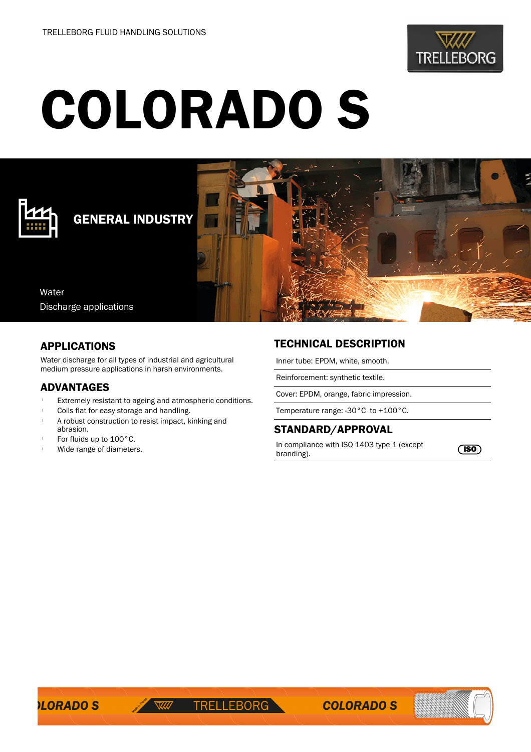

# COLORADO S



# GENERAL INDUSTRY

Water Discharge applications

#### APPLICATIONS

Water discharge for all types of industrial and agricultural medium pressure applications in harsh environments.

#### ADVANTAGES

- Extremely resistant to ageing and atmospheric conditions.
- Coils flat for easy storage and handling.
- A robust construction to resist impact, kinking and abrasion.
- For fluids up to 100°C.
- Wide range of diameters.

## TECHNICAL DESCRIPTION

Inner tube: EPDM, white, smooth.

Reinforcement: synthetic textile.

Cover: EPDM, orange, fabric impression.

Temperature range: -30°C to +100°C.

### STANDARD/APPROVAL

In compliance with ISO 1403 type 1 (except **ISO**<br>branding).

**ILORADO S**